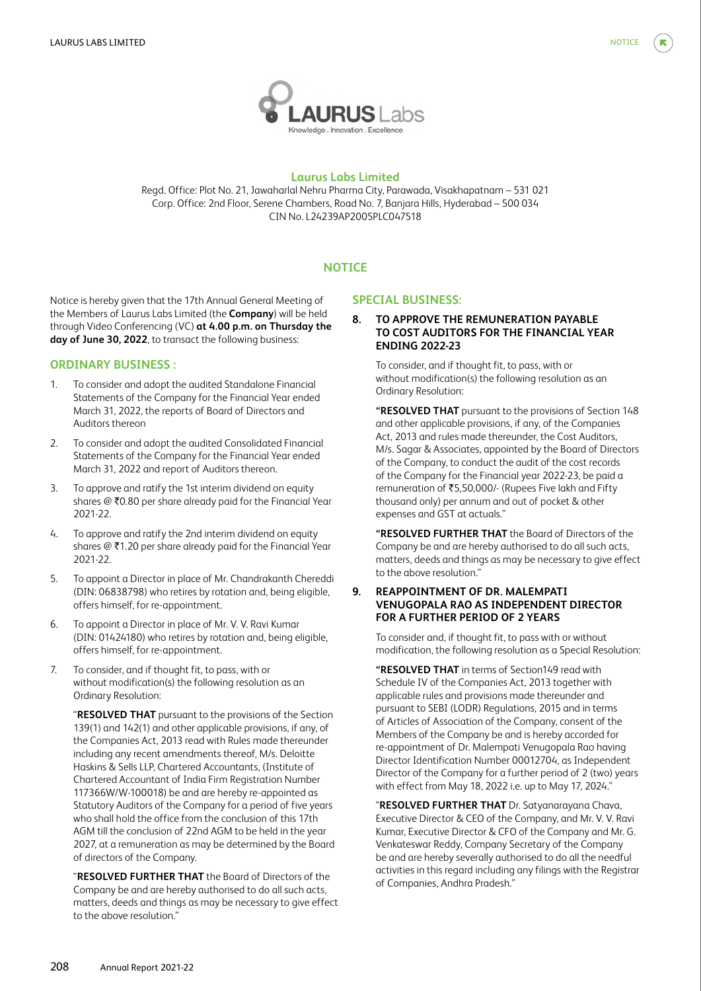

# **Laurus Labs Limited**

Regd. Office: Plot No. 21, Jawaharlal Nehru Pharma City, Parawada, Visakhapatnam – 531 021 Corp. Office: 2nd Floor, Serene Chambers, Road No. 7, Banjara Hills, Hyderabad – 500 034 CIN No. L24239AP2005PLC047518

# **NOTICE**

Notice is hereby given that the 17th Annual General Meeting of the Members of Laurus Labs Limited (the **Company**) will be held through Video Conferencing (VC) **at 4.00 p.m. on Thursday the day of June 30, 2022**, to transact the following business:

# **ORDINARY BUSINESS :**

- 1. To consider and adopt the audited Standalone Financial Statements of the Company for the Financial Year ended March 31, 2022, the reports of Board of Directors and Auditors thereon
- 2. To consider and adopt the audited Consolidated Financial Statements of the Company for the Financial Year ended March 31, 2022 and report of Auditors thereon.
- 3. To approve and ratify the 1st interim dividend on equity shares  $@$  ₹0.80 per share already paid for the Financial Year 2021-22.
- 4. To approve and ratify the 2nd interim dividend on equity shares @ ₹1.20 per share already paid for the Financial Year 2021-22.
- 5. To appoint a Director in place of Mr. Chandrakanth Chereddi (DIN: 06838798) who retires by rotation and, being eligible, offers himself, for re-appointment.
- 6. To appoint a Director in place of Mr. V. V. Ravi Kumar (DIN: 01424180) who retires by rotation and, being eligible, offers himself, for re-appointment.
- 7. To consider, and if thought fit, to pass, with or without modification(s) the following resolution as an Ordinary Resolution:

 "**RESOLVED THAT** pursuant to the provisions of the Section 139(1) and 142(1) and other applicable provisions, if any, of the Companies Act, 2013 read with Rules made thereunder including any recent amendments thereof, M/s. Deloitte Haskins & Sells LLP, Chartered Accountants, (Institute of Chartered Accountant of India Firm Registration Number 117366W/W-100018) be and are hereby re-appointed as Statutory Auditors of the Company for a period of five years who shall hold the office from the conclusion of this 17th AGM till the conclusion of 22nd AGM to be held in the year 2027, at a remuneration as may be determined by the Board of directors of the Company.

 "**RESOLVED FURTHER THAT** the Board of Directors of the Company be and are hereby authorised to do all such acts, matters, deeds and things as may be necessary to give effect to the above resolution."

## **SPECIAL BUSINESS:**

# **8. TO APPROVE THE REMUNERATION PAYABLE TO COST AUDITORS FOR THE FINANCIAL YEAR ENDING 2022-23**

 To consider, and if thought fit, to pass, with or without modification(s) the following resolution as an Ordinary Resolution:

 **"RESOLVED THAT** pursuant to the provisions of Section 148 and other applicable provisions, if any, of the Companies Act, 2013 and rules made thereunder, the Cost Auditors, M/s. Sagar & Associates, appointed by the Board of Directors of the Company, to conduct the audit of the cost records of the Company for the Financial year 2022-23, be paid a remuneration of ₹5,50,000/- (Rupees Five lakh and Fifty thousand only) per annum and out of pocket & other expenses and GST at actuals."

**"RESOLVED FURTHER THAT** the Board of Directors of the Company be and are hereby authorised to do all such acts, matters, deeds and things as may be necessary to give effect to the above resolution."

# **9. REAPPOINTMENT OF DR. MALEMPATI VENUGOPALA RAO AS INDEPENDENT DIRECTOR FOR A FURTHER PERIOD OF 2 YEARS**

 To consider and, if thought fit, to pass with or without modification, the following resolution as a Special Resolution:

**"RESOLVED THAT** in terms of Section149 read with Schedule IV of the Companies Act, 2013 together with applicable rules and provisions made thereunder and pursuant to SEBI (LODR) Regulations, 2015 and in terms of Articles of Association of the Company, consent of the Members of the Company be and is hereby accorded for re-appointment of Dr. Malempati Venugopala Rao having Director Identification Number 00012704, as Independent Director of the Company for a further period of 2 (two) years with effect from May 18, 2022 i.e. up to May 17, 2024."

 "**RESOLVED FURTHER THAT** Dr. Satyanarayana Chava, Executive Director & CEO of the Company, and Mr. V. V. Ravi Kumar, Executive Director & CFO of the Company and Mr. G. Venkateswar Reddy, Company Secretary of the Company be and are hereby severally authorised to do all the needful activities in this regard including any filings with the Registrar of Companies, Andhra Pradesh."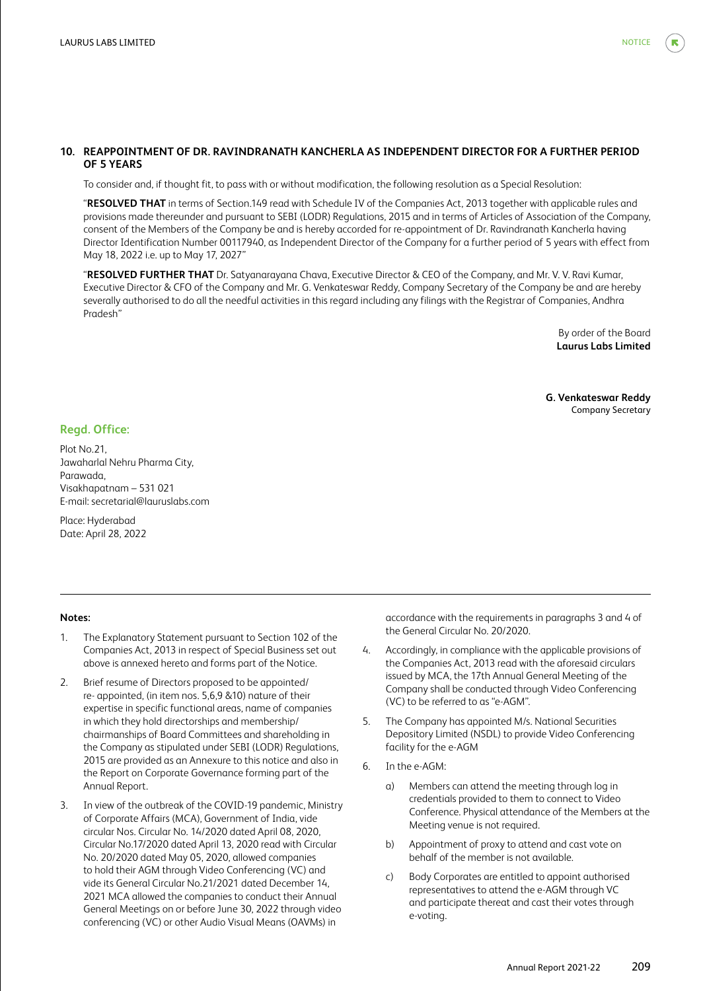## **10. REAPPOINTMENT OF DR. RAVINDRANATH KANCHERLA AS INDEPENDENT DIRECTOR FOR A FURTHER PERIOD OF 5 YEARS**

To consider and, if thought fit, to pass with or without modification, the following resolution as a Special Resolution:

 "**RESOLVED THAT** in terms of Section.149 read with Schedule IV of the Companies Act, 2013 together with applicable rules and provisions made thereunder and pursuant to SEBI (LODR) Regulations, 2015 and in terms of Articles of Association of the Company, consent of the Members of the Company be and is hereby accorded for re-appointment of Dr. Ravindranath Kancherla having Director Identification Number 00117940, as Independent Director of the Company for a further period of 5 years with effect from May 18, 2022 i.e. up to May 17, 2027"

 "**RESOLVED FURTHER THAT** Dr. Satyanarayana Chava, Executive Director & CEO of the Company, and Mr. V. V. Ravi Kumar, Executive Director & CFO of the Company and Mr. G. Venkateswar Reddy, Company Secretary of the Company be and are hereby severally authorised to do all the needful activities in this regard including any filings with the Registrar of Companies, Andhra Pradesh"

> By order of the Board **Laurus Labs Limited**

**G. Venkateswar Reddy** Company Secretary

#### **Regd. Office:**

Plot No.21, Jawaharlal Nehru Pharma City, Parawada, Visakhapatnam – 531 021 E-mail: secretarial@lauruslabs.com

Place: Hyderabad Date: April 28, 2022

#### **Notes:**

- 1. The Explanatory Statement pursuant to Section 102 of the Companies Act, 2013 in respect of Special Business set out above is annexed hereto and forms part of the Notice.
- 2. Brief resume of Directors proposed to be appointed/ re- appointed, (in item nos. 5,6,9 &10) nature of their expertise in specific functional areas, name of companies in which they hold directorships and membership/ chairmanships of Board Committees and shareholding in the Company as stipulated under SEBI (LODR) Regulations, 2015 are provided as an Annexure to this notice and also in the Report on Corporate Governance forming part of the Annual Report.
- 3. In view of the outbreak of the COVID-19 pandemic, Ministry of Corporate Affairs (MCA), Government of India, vide circular Nos. Circular No. 14/2020 dated April 08, 2020, Circular No.17/2020 dated April 13, 2020 read with Circular No. 20/2020 dated May 05, 2020, allowed companies to hold their AGM through Video Conferencing (VC) and vide its General Circular No.21/2021 dated December 14, 2021 MCA allowed the companies to conduct their Annual General Meetings on or before June 30, 2022 through video conferencing (VC) or other Audio Visual Means (OAVMs) in

accordance with the requirements in paragraphs 3 and 4 of the General Circular No. 20/2020.

- 4. Accordingly, in compliance with the applicable provisions of the Companies Act, 2013 read with the aforesaid circulars issued by MCA, the 17th Annual General Meeting of the Company shall be conducted through Video Conferencing (VC) to be referred to as "e-AGM".
- 5. The Company has appointed M/s. National Securities Depository Limited (NSDL) to provide Video Conferencing facility for the e-AGM
- 6. In the e-AGM:
	- a) Members can attend the meeting through log in credentials provided to them to connect to Video Conference. Physical attendance of the Members at the Meeting venue is not required.
	- b) Appointment of proxy to attend and cast vote on behalf of the member is not available.
	- c) Body Corporates are entitled to appoint authorised representatives to attend the e-AGM through VC and participate thereat and cast their votes through e-voting.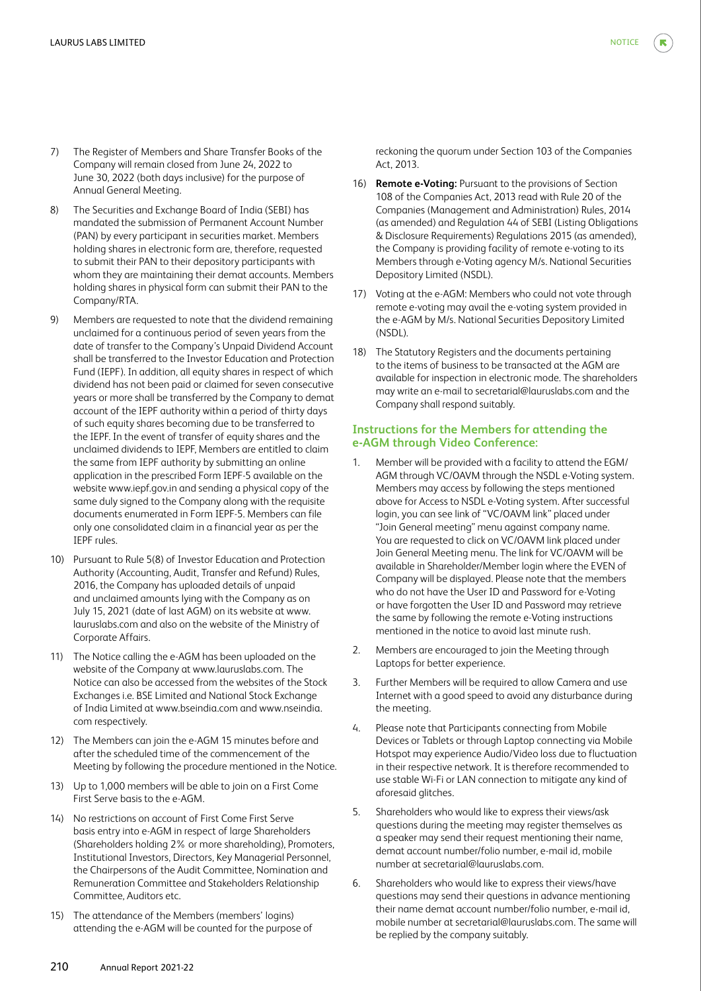- 7) The Register of Members and Share Transfer Books of the Company will remain closed from June 24, 2022 to June 30, 2022 (both days inclusive) for the purpose of Annual General Meeting.
- 8) The Securities and Exchange Board of India (SEBI) has mandated the submission of Permanent Account Number (PAN) by every participant in securities market. Members holding shares in electronic form are, therefore, requested to submit their PAN to their depository participants with whom they are maintaining their demat accounts. Members holding shares in physical form can submit their PAN to the Company/RTA.
- 9) Members are requested to note that the dividend remaining unclaimed for a continuous period of seven years from the date of transfer to the Company's Unpaid Dividend Account shall be transferred to the Investor Education and Protection Fund (IEPF). In addition, all equity shares in respect of which dividend has not been paid or claimed for seven consecutive years or more shall be transferred by the Company to demat account of the IEPF authority within a period of thirty days of such equity shares becoming due to be transferred to the IEPF. In the event of transfer of equity shares and the unclaimed dividends to IEPF, Members are entitled to claim the same from IEPF authority by submitting an online application in the prescribed Form IEPF-5 available on the website www.iepf.gov.in and sending a physical copy of the same duly signed to the Company along with the requisite documents enumerated in Form IEPF-5. Members can file only one consolidated claim in a financial year as per the IEPF rules.
- 10) Pursuant to Rule 5(8) of Investor Education and Protection Authority (Accounting, Audit, Transfer and Refund) Rules, 2016, the Company has uploaded details of unpaid and unclaimed amounts lying with the Company as on July 15, 2021 (date of last AGM) on its website at www. lauruslabs.com and also on the website of the Ministry of Corporate Affairs.
- 11) The Notice calling the e-AGM has been uploaded on the website of the Company at www.lauruslabs.com. The Notice can also be accessed from the websites of the Stock Exchanges i.e. BSE Limited and National Stock Exchange of India Limited at www.bseindia.com and www.nseindia. com respectively.
- 12) The Members can join the e-AGM 15 minutes before and after the scheduled time of the commencement of the Meeting by following the procedure mentioned in the Notice.
- 13) Up to 1,000 members will be able to join on a First Come First Serve basis to the e-AGM.
- 14) No restrictions on account of First Come First Serve basis entry into e-AGM in respect of large Shareholders (Shareholders holding 2% or more shareholding), Promoters, Institutional Investors, Directors, Key Managerial Personnel, the Chairpersons of the Audit Committee, Nomination and Remuneration Committee and Stakeholders Relationship Committee, Auditors etc.
- 15) The attendance of the Members (members' logins) attending the e-AGM will be counted for the purpose of

reckoning the quorum under Section 103 of the Companies Act, 2013.

- 16) **Remote e-Voting:** Pursuant to the provisions of Section 108 of the Companies Act, 2013 read with Rule 20 of the Companies (Management and Administration) Rules, 2014 (as amended) and Regulation 44 of SEBI (Listing Obligations & Disclosure Requirements) Regulations 2015 (as amended), the Company is providing facility of remote e-voting to its Members through e-Voting agency M/s. National Securities Depository Limited (NSDL).
- 17) Voting at the e-AGM: Members who could not vote through remote e-voting may avail the e-voting system provided in the e-AGM by M/s. National Securities Depository Limited (NSDL).
- 18) The Statutory Registers and the documents pertaining to the items of business to be transacted at the AGM are available for inspection in electronic mode. The shareholders may write an e-mail to secretarial@lauruslabs.com and the Company shall respond suitably.

## **Instructions for the Members for attending the e-AGM through Video Conference:**

- 1. Member will be provided with a facility to attend the EGM/ AGM through VC/OAVM through the NSDL e-Voting system. Members may access by following the steps mentioned above for Access to NSDL e-Voting system. After successful login, you can see link of "VC/OAVM link" placed under "Join General meeting" menu against company name. You are requested to click on VC/OAVM link placed under Join General Meeting menu. The link for VC/OAVM will be available in Shareholder/Member login where the EVEN of Company will be displayed. Please note that the members who do not have the User ID and Password for e-Voting or have forgotten the User ID and Password may retrieve the same by following the remote e-Voting instructions mentioned in the notice to avoid last minute rush.
- 2. Members are encouraged to join the Meeting through Laptops for better experience.
- 3. Further Members will be required to allow Camera and use Internet with a good speed to avoid any disturbance during the meeting.
- 4. Please note that Participants connecting from Mobile Devices or Tablets or through Laptop connecting via Mobile Hotspot may experience Audio/Video loss due to fluctuation in their respective network. It is therefore recommended to use stable Wi-Fi or LAN connection to mitigate any kind of aforesaid glitches.
- 5. Shareholders who would like to express their views/ask questions during the meeting may register themselves as a speaker may send their request mentioning their name, demat account number/folio number, e-mail id, mobile number at secretarial@lauruslabs.com.
- 6. Shareholders who would like to express their views/have questions may send their questions in advance mentioning their name demat account number/folio number, e-mail id, mobile number at secretarial@lauruslabs.com. The same will be replied by the company suitably.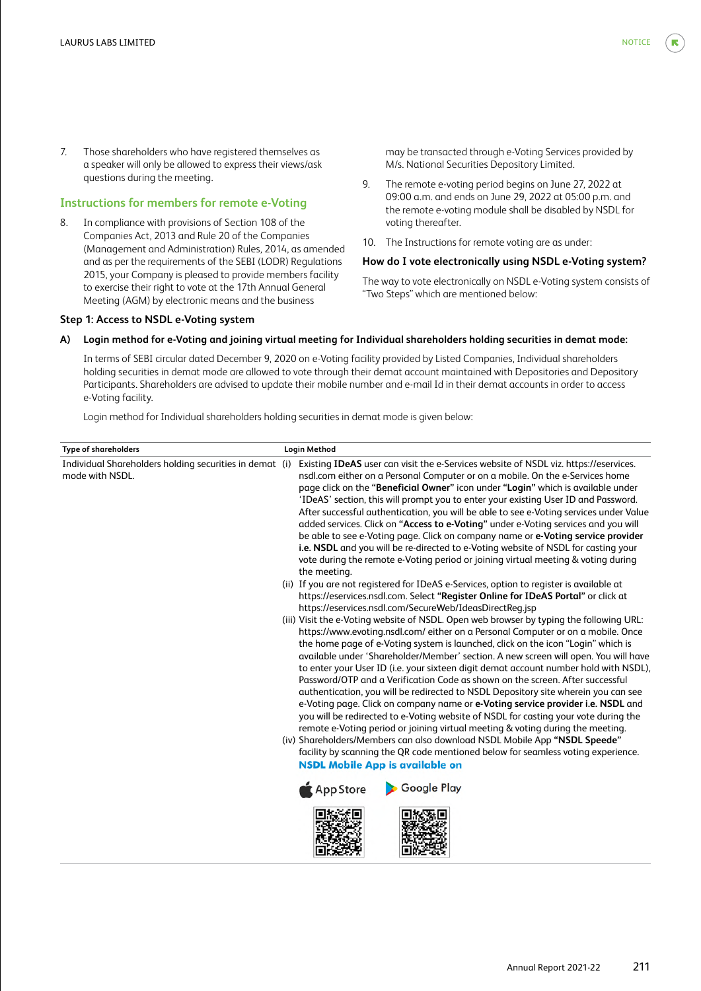7. Those shareholders who have registered themselves as a speaker will only be allowed to express their views/ask questions during the meeting.

# **Instructions for members for remote e-Voting**

8. In compliance with provisions of Section 108 of the Companies Act, 2013 and Rule 20 of the Companies (Management and Administration) Rules, 2014, as amended and as per the requirements of the SEBI (LODR) Regulations 2015, your Company is pleased to provide members facility to exercise their right to vote at the 17th Annual General Meeting (AGM) by electronic means and the business

#### **Step 1: Access to NSDL e-Voting system**

may be transacted through e-Voting Services provided by M/s. National Securities Depository Limited.

- 9. The remote e-voting period begins on June 27, 2022 at 09:00 a.m. and ends on June 29, 2022 at 05:00 p.m. and the remote e-voting module shall be disabled by NSDL for voting thereafter.
- 10. The Instructions for remote voting are as under:

## **How do I vote electronically using NSDL e-Voting system?**

The way to vote electronically on NSDL e-Voting system consists of "Two Steps" which are mentioned below:

#### **A) Login method for e-Voting and joining virtual meeting for Individual shareholders holding securities in demat mode:**

 In terms of SEBI circular dated December 9, 2020 on e-Voting facility provided by Listed Companies, Individual shareholders holding securities in demat mode are allowed to vote through their demat account maintained with Depositories and Depository Participants. Shareholders are advised to update their mobile number and e-mail Id in their demat accounts in order to access e-Voting facility.

Login method for Individual shareholders holding securities in demat mode is given below:

| Login Method                                                                                                                                                                                                                                                                                                                                                                                                                                                                                                                                                                                                                                                                                                                                                                                                                                                                                                                                                                                                                                                                                                                                                                                                                                                                                                                                                                                                                                                                                                                                                                                                                                                                                                                                                                                                                                                                                                                                                                                                                                                                                                                                                                                                                                                  |
|---------------------------------------------------------------------------------------------------------------------------------------------------------------------------------------------------------------------------------------------------------------------------------------------------------------------------------------------------------------------------------------------------------------------------------------------------------------------------------------------------------------------------------------------------------------------------------------------------------------------------------------------------------------------------------------------------------------------------------------------------------------------------------------------------------------------------------------------------------------------------------------------------------------------------------------------------------------------------------------------------------------------------------------------------------------------------------------------------------------------------------------------------------------------------------------------------------------------------------------------------------------------------------------------------------------------------------------------------------------------------------------------------------------------------------------------------------------------------------------------------------------------------------------------------------------------------------------------------------------------------------------------------------------------------------------------------------------------------------------------------------------------------------------------------------------------------------------------------------------------------------------------------------------------------------------------------------------------------------------------------------------------------------------------------------------------------------------------------------------------------------------------------------------------------------------------------------------------------------------------------------------|
| Individual Shareholders holding securities in demat (i)<br>Existing IDeAS user can visit the e-Services website of NSDL viz. https://eservices.<br>nsdl.com either on a Personal Computer or on a mobile. On the e-Services home<br>page click on the "Beneficial Owner" icon under "Login" which is available under<br>'IDeAS' section, this will prompt you to enter your existing User ID and Password.<br>After successful authentication, you will be able to see e-Voting services under Value<br>added services. Click on "Access to e-Voting" under e-Voting services and you will<br>be able to see e-Voting page. Click on company name or e-Voting service provider<br>i.e. NSDL and you will be re-directed to e-Voting website of NSDL for casting your<br>vote during the remote e-Voting period or joining virtual meeting & voting during<br>the meeting.<br>(ii) If you are not registered for IDeAS e-Services, option to register is available at<br>https://eservices.nsdl.com. Select "Register Online for IDeAS Portal" or click at<br>https://eservices.nsdl.com/SecureWeb/IdeasDirectReg.jsp<br>(iii) Visit the e-Voting website of NSDL. Open web browser by typing the following URL:<br>https://www.evoting.nsdl.com/either on a Personal Computer or on a mobile. Once<br>the home page of e-Voting system is launched, click on the icon "Login" which is<br>available under 'Shareholder/Member' section. A new screen will open. You will have<br>to enter your User ID (i.e. your sixteen digit demat account number hold with NSDL),<br>Password/OTP and a Verification Code as shown on the screen. After successful<br>authentication, you will be redirected to NSDL Depository site wherein you can see<br>e-Voting page. Click on company name or e-Voting service provider i.e. NSDL and<br>you will be redirected to e-Voting website of NSDL for casting your vote during the<br>remote e-Voting period or joining virtual meeting & voting during the meeting.<br>(iv) Shareholders/Members can also download NSDL Mobile App "NSDL Speede"<br>facility by scanning the QR code mentioned below for seamless voting experience.<br><b>NSDL Mobile App is available on</b><br><b>Google Play</b><br><b>App Store</b> |
|                                                                                                                                                                                                                                                                                                                                                                                                                                                                                                                                                                                                                                                                                                                                                                                                                                                                                                                                                                                                                                                                                                                                                                                                                                                                                                                                                                                                                                                                                                                                                                                                                                                                                                                                                                                                                                                                                                                                                                                                                                                                                                                                                                                                                                                               |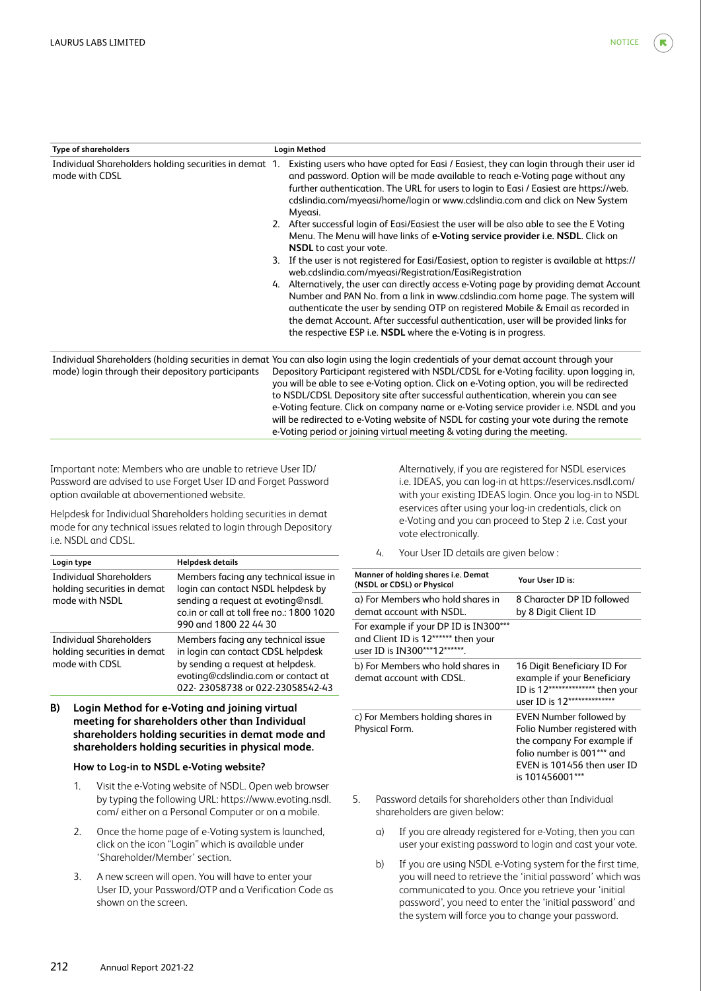| <b>Type of shareholders</b>                                              | Login Method |                                                                                                                                                                                                                                                                                                                                                                                                                                                                                                                                           |  |  |
|--------------------------------------------------------------------------|--------------|-------------------------------------------------------------------------------------------------------------------------------------------------------------------------------------------------------------------------------------------------------------------------------------------------------------------------------------------------------------------------------------------------------------------------------------------------------------------------------------------------------------------------------------------|--|--|
| Individual Shareholders holding securities in demat 1.<br>mode with CDSL |              | Existing users who have opted for Easi / Easiest, they can login through their user id<br>and password. Option will be made available to reach e-Voting page without any<br>further authentication. The URL for users to login to Easi / Easiest are https://web.<br>cdslindia.com/myeasi/home/login or www.cdslindia.com and click on New System<br>Myeasi.                                                                                                                                                                              |  |  |
|                                                                          |              | 2. After successful login of Easi/Easiest the user will be also able to see the E Voting<br>Menu. The Menu will have links of e-Voting service provider i.e. NSDL. Click on<br><b>NSDL</b> to cast your vote.                                                                                                                                                                                                                                                                                                                             |  |  |
|                                                                          | 3.           | If the user is not registered for Easi/Easiest, option to register is available at https://<br>web.cdslindia.com/myeasi/Registration/EasiRegistration                                                                                                                                                                                                                                                                                                                                                                                     |  |  |
|                                                                          |              | 4. Alternatively, the user can directly access e-Voting page by providing demat Account<br>Number and PAN No. from a link in www.cdslindia.com home page. The system will<br>authenticate the user by sending OTP on registered Mobile & Email as recorded in<br>the demat Account. After successful authentication, user will be provided links for<br>the respective ESP i.e. NSDL where the e-Voting is in progress.                                                                                                                   |  |  |
|                                                                          |              | Individual Shareholders (holding securities in demat You can also login using the login credentials of your demat account through your                                                                                                                                                                                                                                                                                                                                                                                                    |  |  |
| mode) login through their depository participants                        |              | Depository Participant registered with NSDL/CDSL for e-Voting facility, upon logging in,<br>you will be able to see e-Voting option. Click on e-Voting option, you will be redirected<br>to NSDL/CDSL Depository site after successful authentication, wherein you can see<br>e-Voting feature. Click on company name or e-Voting service provider i.e. NSDL and you<br>will be redirected to e-Voting website of NSDL for casting your vote during the remote<br>e-Voting period or joining virtual meeting & voting during the meeting. |  |  |

Important note: Members who are unable to retrieve User ID/ Password are advised to use Forget User ID and Forget Password option available at abovementioned website.

Helpdesk for Individual Shareholders holding securities in demat mode for any technical issues related to login through Depository i.e. NSDL and CDSL.

| Login type                                                                      | <b>Helpdesk details</b>                                                                                                                                                                 |
|---------------------------------------------------------------------------------|-----------------------------------------------------------------------------------------------------------------------------------------------------------------------------------------|
| <b>Individual Shareholders</b><br>holding securities in demat<br>mode with NSDL | Members facing any technical issue in<br>login can contact NSDL helpdesk by<br>sending a request at evoting@nsdl.<br>co.in or call at toll free no.: 1800 1020<br>990 and 1800 22 44 30 |
| Individual Shareholders<br>holding securities in demat<br>mode with CDSL        | Members facing any technical issue<br>in login can contact CDSL helpdesk<br>by sending a request at helpdesk.<br>evoting@cdslindia.com or contact at<br>022-23058738 or 022-23058542-43 |

## **B) Login Method for e-Voting and joining virtual meeting for shareholders other than Individual shareholders holding securities in demat mode and shareholders holding securities in physical mode.**

## **How to Log-in to NSDL e-Voting website?**

- 1. Visit the e-Voting website of NSDL. Open web browser by typing the following URL: https://www.evoting.nsdl. com/ either on a Personal Computer or on a mobile.
- 2. Once the home page of e-Voting system is launched, click on the icon "Login" which is available under 'Shareholder/Member' section.
- 3. A new screen will open. You will have to enter your User ID, your Password/OTP and a Verification Code as shown on the screen.

 Alternatively, if you are registered for NSDL eservices i.e. IDEAS, you can log-in at https://eservices.nsdl.com/ with your existing IDEAS login. Once you log-in to NSDL eservices after using your log-in credentials, click on e-Voting and you can proceed to Step 2 i.e. Cast your vote electronically.

4. Your User ID details are given below :

| Manner of holding shares i.e. Demat<br>(NSDL or CDSL) or Physical                                            | Your User ID is:                                                                                                                                                      |
|--------------------------------------------------------------------------------------------------------------|-----------------------------------------------------------------------------------------------------------------------------------------------------------------------|
| a) For Members who hold shares in<br>demat account with NSDL.                                                | 8 Character DP ID followed<br>by 8 Digit Client ID                                                                                                                    |
| For example if your DP ID is IN300***<br>and Client ID is 12****** then your<br>user ID is IN300***12******. |                                                                                                                                                                       |
| b) For Members who hold shares in<br>demat account with CDSL.                                                | 16 Digit Beneficiary ID For<br>example if your Beneficiary<br>ID is 12************** then your<br>user ID is 12**************                                         |
| c) For Members holding shares in<br>Physical Form.                                                           | EVEN Number followed by<br>Folio Number registered with<br>the company For example if<br>folio number is 001*** and<br>EVEN is 101456 then user ID<br>is 101456001*** |

- 5. Password details for shareholders other than Individual shareholders are given below:
	- a) If you are already registered for e-Voting, then you can user your existing password to login and cast your vote.
	- b) If you are using NSDL e-Voting system for the first time, you will need to retrieve the 'initial password' which was communicated to you. Once you retrieve your 'initial password', you need to enter the 'initial password' and the system will force you to change your password.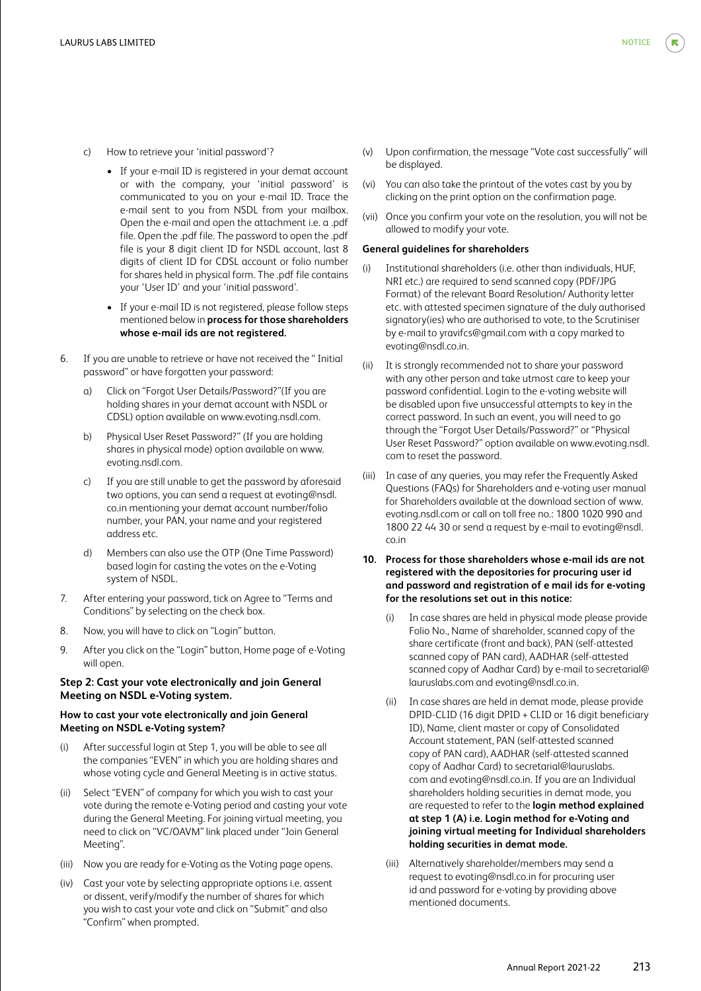- c) How to retrieve your 'initial password'?
	- If your e-mail ID is registered in your demat account or with the company, your 'initial password' is communicated to you on your e-mail ID. Trace the e-mail sent to you from NSDL from your mailbox. Open the e-mail and open the attachment i.e. a .pdf file. Open the .pdf file. The password to open the .pdf file is your 8 digit client ID for NSDL account, last 8 digits of client ID for CDSL account or folio number for shares held in physical form. The .pdf file contains your 'User ID' and your 'initial password'.
	- If your e-mail ID is not registered, please follow steps mentioned below in **process for those shareholders whose e-mail ids are not registered.**
- 6. If you are unable to retrieve or have not received the " Initial password" or have forgotten your password:
	- a) Click on "Forgot User Details/Password?"(If you are holding shares in your demat account with NSDL or CDSL) option available on www.evoting.nsdl.com.
	- b) Physical User Reset Password?" (If you are holding shares in physical mode) option available on www. evoting.nsdl.com.
	- If you are still unable to get the password by aforesaid two options, you can send a request at evoting@nsdl. co.in mentioning your demat account number/folio number, your PAN, your name and your registered address etc.
	- d) Members can also use the OTP (One Time Password) based login for casting the votes on the e-Voting system of NSDL.
- 7. After entering your password, tick on Agree to "Terms and Conditions" by selecting on the check box.
- 8. Now, you will have to click on "Login" button.
- 9. After you click on the "Login" button, Home page of e-Voting will open.

## **Step 2: Cast your vote electronically and join General Meeting on NSDL e-Voting system.**

## **How to cast your vote electronically and join General Meeting on NSDL e-Voting system?**

- (i) After successful login at Step 1, you will be able to see all the companies "EVEN" in which you are holding shares and whose voting cycle and General Meeting is in active status.
- (ii) Select "EVEN" of company for which you wish to cast your vote during the remote e-Voting period and casting your vote during the General Meeting. For joining virtual meeting, you need to click on "VC/OAVM" link placed under "Join General Meeting".
- (iii) Now you are ready for e-Voting as the Voting page opens.
- (iv) Cast your vote by selecting appropriate options i.e. assent or dissent, verify/modify the number of shares for which you wish to cast your vote and click on "Submit" and also "Confirm" when prompted.
- (v) Upon confirmation, the message "Vote cast successfully" will be displayed.
- (vi) You can also take the printout of the votes cast by you by clicking on the print option on the confirmation page.
- (vii) Once you confirm your vote on the resolution, you will not be allowed to modify your vote.

#### **General guidelines for shareholders**

- (i) Institutional shareholders (i.e. other than individuals, HUF, NRI etc.) are required to send scanned copy (PDF/JPG Format) of the relevant Board Resolution/ Authority letter etc. with attested specimen signature of the duly authorised signatory(ies) who are authorised to vote, to the Scrutiniser by e-mail to yravifcs@gmail.com with a copy marked to evoting@nsdl.co.in.
- (ii) It is strongly recommended not to share your password with any other person and take utmost care to keep your password confidential. Login to the e-voting website will be disabled upon five unsuccessful attempts to key in the correct password. In such an event, you will need to go through the "Forgot User Details/Password?" or "Physical User Reset Password?" option available on www.evoting.nsdl. com to reset the password.
- (iii) In case of any queries, you may refer the Frequently Asked Questions (FAQs) for Shareholders and e-voting user manual for Shareholders available at the download section of www. evoting.nsdl.com or call on toll free no.: 1800 1020 990 and 1800 22 44 30 or send a request by e-mail to evoting@nsdl. co.in
- **10. Process for those shareholders whose e-mail ids are not registered with the depositories for procuring user id and password and registration of e mail ids for e-voting for the resolutions set out in this notice:**
	- In case shares are held in physical mode please provide Folio No., Name of shareholder, scanned copy of the share certificate (front and back), PAN (self-attested scanned copy of PAN card), AADHAR (self-attested scanned copy of Aadhar Card) by e-mail to secretarial@ lauruslabs.com and evoting@nsdl.co.in.
	- (ii) In case shares are held in demat mode, please provide DPID-CLID (16 digit DPID + CLID or 16 digit beneficiary ID), Name, client master or copy of Consolidated Account statement, PAN (self-attested scanned copy of PAN card), AADHAR (self-attested scanned copy of Aadhar Card) to secretarial@lauruslabs. com and evoting@nsdl.co.in. If you are an Individual shareholders holding securities in demat mode, you are requested to refer to the **login method explained at step 1 (A) i.e. Login method for e-Voting and joining virtual meeting for Individual shareholders holding securities in demat mode.**
	- (iii) Alternatively shareholder/members may send a request to evoting@nsdl.co.in for procuring user id and password for e-voting by providing above mentioned documents.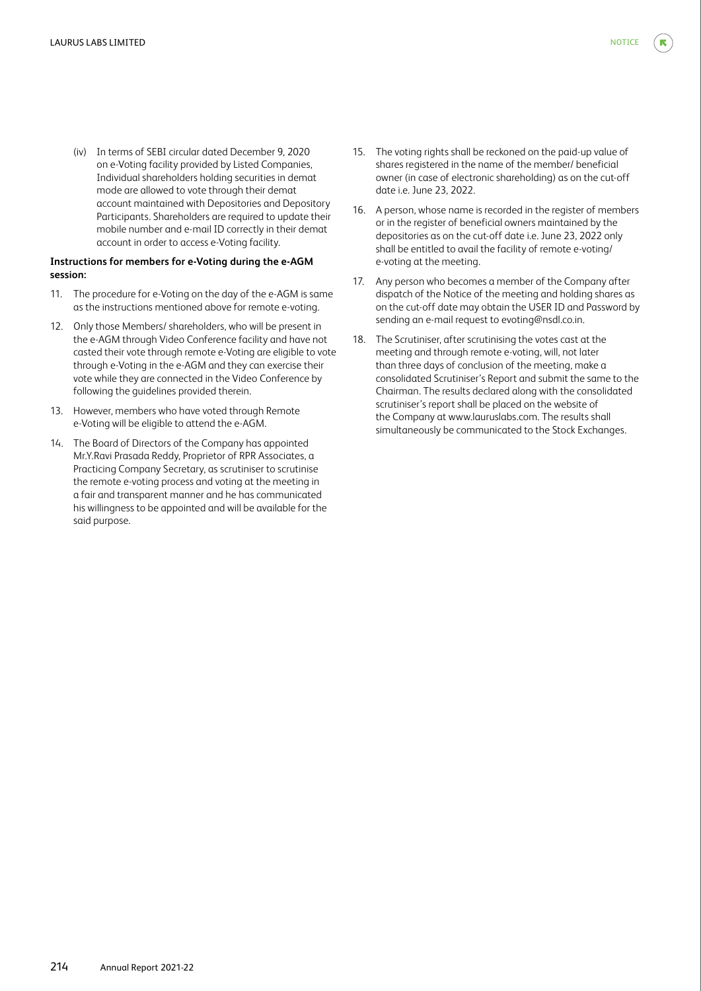(iv) In terms of SEBI circular dated December 9, 2020 on e-Voting facility provided by Listed Companies, Individual shareholders holding securities in demat mode are allowed to vote through their demat account maintained with Depositories and Depository Participants. Shareholders are required to update their mobile number and e-mail ID correctly in their demat account in order to access e-Voting facility.

## **Instructions for members for e-Voting during the e-AGM session:**

- 11. The procedure for e-Voting on the day of the e-AGM is same as the instructions mentioned above for remote e-voting.
- 12. Only those Members/ shareholders, who will be present in the e-AGM through Video Conference facility and have not casted their vote through remote e-Voting are eligible to vote through e-Voting in the e-AGM and they can exercise their vote while they are connected in the Video Conference by following the guidelines provided therein.
- 13. However, members who have voted through Remote e-Voting will be eligible to attend the e-AGM.
- 14. The Board of Directors of the Company has appointed Mr.Y.Ravi Prasada Reddy, Proprietor of RPR Associates, a Practicing Company Secretary, as scrutiniser to scrutinise the remote e-voting process and voting at the meeting in a fair and transparent manner and he has communicated his willingness to be appointed and will be available for the said purpose.
- 15. The voting rights shall be reckoned on the paid-up value of shares registered in the name of the member/ beneficial owner (in case of electronic shareholding) as on the cut-off date i.e. June 23, 2022.
- 16. A person, whose name is recorded in the register of members or in the register of beneficial owners maintained by the depositories as on the cut-off date i.e. June 23, 2022 only shall be entitled to avail the facility of remote e-voting/ e-voting at the meeting.
- 17. Any person who becomes a member of the Company after dispatch of the Notice of the meeting and holding shares as on the cut-off date may obtain the USER ID and Password by sending an e-mail request to evoting@nsdl.co.in.
- 18. The Scrutiniser, after scrutinising the votes cast at the meeting and through remote e-voting, will, not later than three days of conclusion of the meeting, make a consolidated Scrutiniser's Report and submit the same to the Chairman. The results declared along with the consolidated scrutiniser's report shall be placed on the website of the Company at www.lauruslabs.com. The results shall simultaneously be communicated to the Stock Exchanges.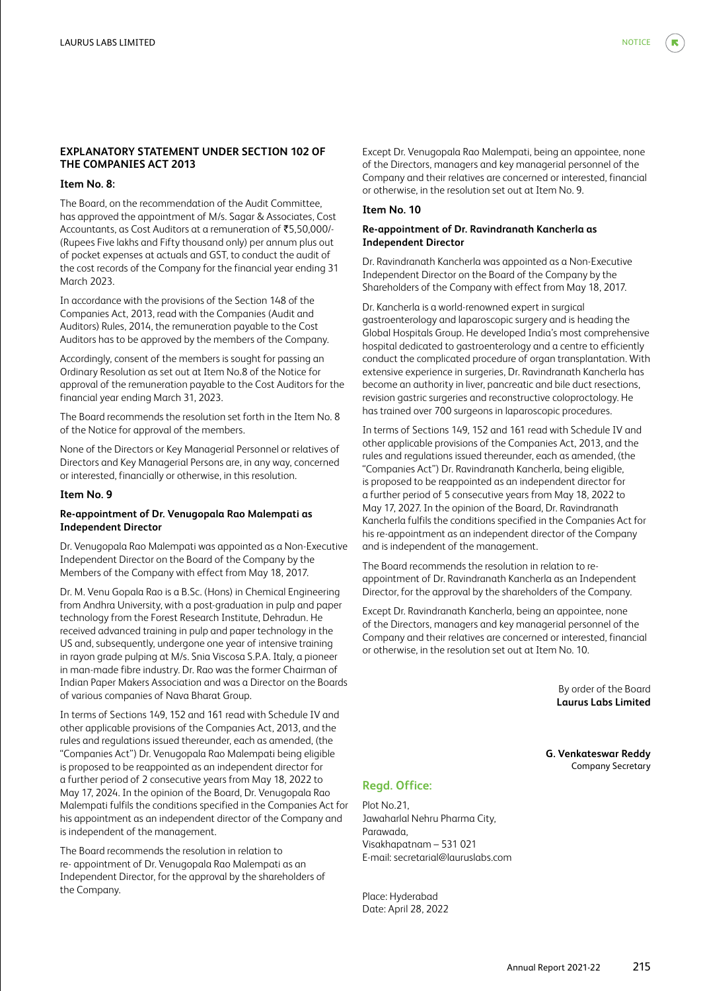# **Item No. 8:**

The Board, on the recommendation of the Audit Committee, has approved the appointment of M/s. Sagar & Associates, Cost Accountants, as Cost Auditors at a remuneration of ₹5,50,000/-(Rupees Five lakhs and Fifty thousand only) per annum plus out of pocket expenses at actuals and GST, to conduct the audit of the cost records of the Company for the financial year ending 31 March 2023.

In accordance with the provisions of the Section 148 of the Companies Act, 2013, read with the Companies (Audit and Auditors) Rules, 2014, the remuneration payable to the Cost Auditors has to be approved by the members of the Company.

Accordingly, consent of the members is sought for passing an Ordinary Resolution as set out at Item No.8 of the Notice for approval of the remuneration payable to the Cost Auditors for the financial year ending March 31, 2023.

The Board recommends the resolution set forth in the Item No. 8 of the Notice for approval of the members.

None of the Directors or Key Managerial Personnel or relatives of Directors and Key Managerial Persons are, in any way, concerned or interested, financially or otherwise, in this resolution.

#### **Item No. 9**

## **Re-appointment of Dr. Venugopala Rao Malempati as Independent Director**

Dr. Venugopala Rao Malempati was appointed as a Non-Executive Independent Director on the Board of the Company by the Members of the Company with effect from May 18, 2017.

Dr. M. Venu Gopala Rao is a B.Sc. (Hons) in Chemical Engineering from Andhra University, with a post-graduation in pulp and paper technology from the Forest Research Institute, Dehradun. He received advanced training in pulp and paper technology in the US and, subsequently, undergone one year of intensive training in rayon grade pulping at M/s. Snia Viscosa S.P.A. Italy, a pioneer in man-made fibre industry. Dr. Rao was the former Chairman of Indian Paper Makers Association and was a Director on the Boards of various companies of Nava Bharat Group.

In terms of Sections 149, 152 and 161 read with Schedule IV and other applicable provisions of the Companies Act, 2013, and the rules and regulations issued thereunder, each as amended, (the "Companies Act") Dr. Venugopala Rao Malempati being eligible is proposed to be reappointed as an independent director for a further period of 2 consecutive years from May 18, 2022 to May 17, 2024. In the opinion of the Board, Dr. Venugopala Rao Malempati fulfils the conditions specified in the Companies Act for his appointment as an independent director of the Company and is independent of the management.

The Board recommends the resolution in relation to re- appointment of Dr. Venugopala Rao Malempati as an Independent Director, for the approval by the shareholders of the Company.

Except Dr. Venugopala Rao Malempati, being an appointee, none of the Directors, managers and key managerial personnel of the Company and their relatives are concerned or interested, financial or otherwise, in the resolution set out at Item No. 9.

#### **Item No. 10**

## **Re-appointment of Dr. Ravindranath Kancherla as Independent Director**

Dr. Ravindranath Kancherla was appointed as a Non-Executive Independent Director on the Board of the Company by the Shareholders of the Company with effect from May 18, 2017.

Dr. Kancherla is a world-renowned expert in surgical gastroenterology and laparoscopic surgery and is heading the Global Hospitals Group. He developed India's most comprehensive hospital dedicated to gastroenterology and a centre to efficiently conduct the complicated procedure of organ transplantation. With extensive experience in surgeries, Dr. Ravindranath Kancherla has become an authority in liver, pancreatic and bile duct resections, revision gastric surgeries and reconstructive coloproctology. He has trained over 700 surgeons in laparoscopic procedures.

In terms of Sections 149, 152 and 161 read with Schedule IV and other applicable provisions of the Companies Act, 2013, and the rules and regulations issued thereunder, each as amended, (the "Companies Act") Dr. Ravindranath Kancherla, being eligible, is proposed to be reappointed as an independent director for a further period of 5 consecutive years from May 18, 2022 to May 17, 2027. In the opinion of the Board, Dr. Ravindranath Kancherla fulfils the conditions specified in the Companies Act for his re-appointment as an independent director of the Company and is independent of the management.

The Board recommends the resolution in relation to reappointment of Dr. Ravindranath Kancherla as an Independent Director, for the approval by the shareholders of the Company.

Except Dr. Ravindranath Kancherla, being an appointee, none of the Directors, managers and key managerial personnel of the Company and their relatives are concerned or interested, financial or otherwise, in the resolution set out at Item No. 10.

> By order of the Board **Laurus Labs Limited**

**G. Venkateswar Reddy** Company Secretary

## **Regd. Office:**

Plot No.21, Jawaharlal Nehru Pharma City, Parawada, Visakhapatnam – 531 021 E-mail: secretarial@lauruslabs.com

Place: Hyderabad Date: April 28, 2022